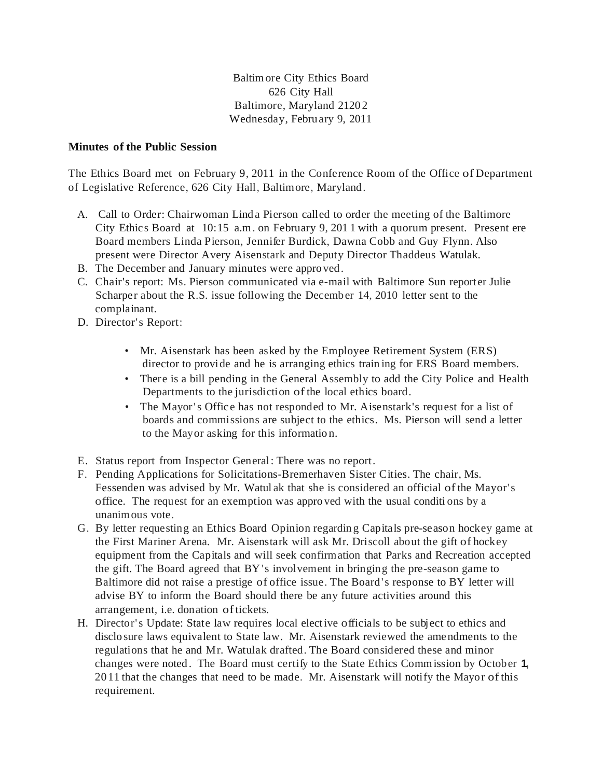Baltim ore City Ethics Board 626 City Hall Baltimore, Maryland 2120 2 Wednesday, February 9, 2011

## **Minutes of the Public Session**

The Ethics Board met on February 9, 2011 in the Conference Room of the Office of Department of Legislative Reference, 626 City Hall, Baltimore, Maryland.

- A. Call to Order: Chairwoman Lind a Pierson called to order the meeting of the Baltimore City Ethic s Board at 10:15 a.m. on February 9, 201 1 with a quorum present. Present ere Board members Linda Pierson, Jennifer Burdick, Dawna Cobb and Guy Flynn. Also present were Director Avery Aisenstark and Deputy Director Thaddeus Watulak.
- B. The December and January minutes were appro ved.
- C. Chair's report: Ms. Pierson communicated via e-mail with Baltimore Sun reporter Julie Scharper about the R.S. issue following the December 14, 2010 letter sent to the complainant.
- D. Director's Report:
	- Mr. Aisenstark has been asked by the Employee Retirement System (ERS) director to provide and he is arranging ethics train ing for ERS Board members.
	- There is a bill pending in the General Assembly to add the City Police and Health Departments to the jurisdiction of the local ethics board.
	- The Mayor's Office has not responded to Mr. Aisenstark's request for a list of boards and commissions are subject to the ethics. Ms. Pierson will send a letter to the Mayor asking for this informatio n.
- E. Status report from Inspector General : There was no report.
- F. Pending Applications for Solicitations-Bremerhaven Sister Cities. The chair, Ms. Fessenden was advised by Mr. Watul ak that she is considered an official ofthe Mayor's office. The request for an exemption was appro ved with the usual conditi ons by a unanim ous vote.
- G. By letter requesting an Ethics Board Opinion regardin g Capitals pre-season hockey game at the First Mariner Arena. Mr. Aisenstark will ask Mr. Driscoll about the gift of hockey equipment from the Capitals and will seek confirmation that Parks and Recreation accepted the gift. The Board agreed that BY's involvement in bringing the pre-season game to Baltimore did not raise a prestige of office issue. The Board's response to BY letter will advise BY to inform the Board should there be any future activities around this arrangement, i.e. donation oftickets.
- H. Director's Update: State law requires local elective officials to be subject to ethics and disclo sure laws equivalent to State law. Mr. Aisenstark reviewed the amendments to the regulations that he and Mr. Watulak drafted. The Board considered these and minor changes were noted . The Board must certify to the State Ethics Comm ission by October **1,** 2011 that the changes that need to be made. Mr. Aisenstark will notify the Mayor ofthis requirement.